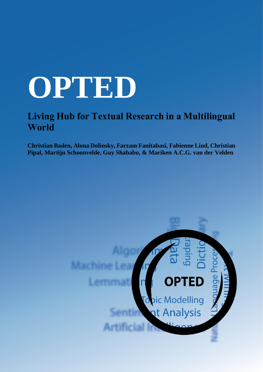## **OPTED**

## **Living Hub for Textual Research in a Multilingual World**

**Christian Baden, Alona Dolinsky, Farzam Fanitabasi, Fabienne Lind, Christian Pipal, Martijn Schoonvelde, Guy Shababo, & Mariken A.C.G. van der Velden**

# age pic Modelling nt Analysis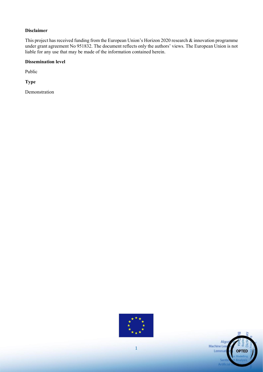#### **Disclaimer**

This project has received funding from the European Union's Horizon 2020 research & innovation programme under grant agreement No 951832. The document reflects only the authors' views. The European Union is not liable for any use that may be made of the information contained herein.

#### **Dissemination level**

Public

**Type** 

Demonstration



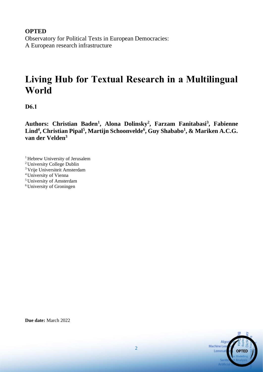**OPTED**  Observatory for Political Texts in European Democracies: A European research infrastructure

### **Living Hub for Textual Research in a Multilingual World**

**D6.1**

**Authors: Christian Baden<sup>1</sup> , Alona Dolinsky<sup>2</sup> , Farzam Fanitabasi<sup>3</sup> , Fabienne Lind<sup>4</sup> , Christian Pipal<sup>5</sup> , Martijn Schoonvelde<sup>6</sup> , Guy Shababo<sup>1</sup> , & Mariken A.C.G. van der Velden<sup>3</sup>**

- <sup>1</sup> Hebrew University of Jerusalem
- <sup>2</sup>University College Dublin
- <sup>3</sup>Vrije Universiteit Amsterdam
- <sup>4</sup>University of Vienna
- <sup>5</sup>University of Amsterdam
- <sup>6</sup> University of Groningen

Algo Machine Lea Lemmat

**Due date:** March 2022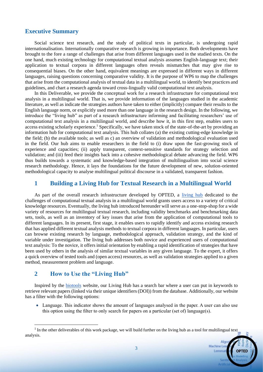#### **Executive Summary**

Social science text research, and the study of political texts in particular, is undergoing rapid internationalisation. Internationally comparative research is growing in importance. Both developments have brought to the fore a range of challenges that arise from different languages used in the studied texts. On the one hand, much existing technology for computational textual analysis assumes English-language text; their application to textual corpora in different languages often reveals mismatches that may give rise to consequential biases. On the other hand, equivalent meanings are expressed in different ways in different languages, raising questions concerning comparative validity. It is the purpose of WP6 to map the challenges that arise from the computational analysis of textual data in a multilingual world, to identify best practices and guidelines, and chart a research agenda toward cross-lingually valid computational text analysis.

In this Deliverable, we provide the conceptual work for a research infrastructure for computational text analysis in a multilingual world. That is, we provide information of the languages studied in the academic literature, as well as indicate the strategies authors have taken to either (implicitly) compare their results to the English language norm, or explicitly used more than one language in the research design. In the following, we introduce the "living hub" as part of a research infrastructure informing and facilitating researchers' use of computational text analysis in a multilingual world, and describe how it, in this first step, enables users to access existing scholarly experience.<sup>1</sup> Specifically, we have taken stock of the state-of-the-art by providing an information hub for computational text analysis. This hub collates (a) the existing cutting-edge knowledge in the field; (b) the available tools; as well as c) an overview of validation and methodological evaluation used in the field. Our hub aims to enable researchers in the field to (i) draw upon the fast-growing stock of experience and capacities; (ii) apply transparent, context-sensitive standards for strategy selection and validation; and (iii) feed their insights back into a cohesive methodological debate advancing the field. WP6 thus builds towards a systematic and knowledge-based integration of multilingualism into social science research methodology. Hence, it lays the foundations for the future development of new, solution-oriented methodological capacity to analyse multilingual political discourse in a validated, transparent fashion.

#### **1 Building a Living Hub for Textual Research in a Multilingual World**

As part of the overall research infrastructure developed by OPTED, a [living hub](https://github.com/MarikenvdVelden/living_hub/) dedicated to the challenges of computational textual analysis in a multilingual world grants users access to a variety of critical knowledge resources. Eventually, the living hub introduced hereunder will serve as a one-stop-shop for a wide variety of resources for multilingual textual research, including validity benchmarks and benchmarking data sets, tools, as well as an inventory of key issues that arise from the application of computational tools to different languages. In its present, first stage, it enables users to rapidly identify and access existing research that has applied different textual analysis methods to textual corpora in different languages. In particular, users can browse existing research by language, methodological approach, validation strategy, and the kind of variable under investigation. The living hub addresses both novice and experienced users of computational text analysis: To the novice, it offers initial orientation by enabling a rapid identification of strategies that have been used by others in the analysis of similar textual variables in any given language. To the expert, it offers a quick overview of tested tools and (open access) resources, as well as validation strategies applied to a given method, measurement problem and language.

#### **2 How to Use the "Living Hub"**

Inspired by the [biotools](https://bio.tools/) website, our Living Hub has a search bar where a user can put in keywords to retrieve relevant papers (linked via their unique identifiers (DOI)) from the database. Additionally, our website has a filter with the following options:

• Language. This indicator shows the amount of languages analysed in the paper. A user can also use this option using the filter to only search for papers on a particular (set of) language(s).

 $<sup>1</sup>$  In the other deliverables of this work package, we will build further on the living hub as a tool for multilingual text</sup> analysis.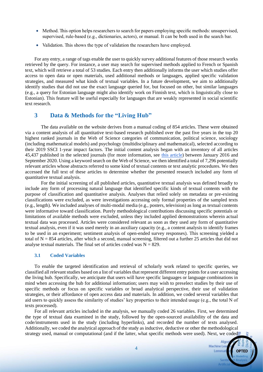- Method. This option helps researchers to search for papers employing specific methods: unsupervised, supervised, rule-based (e.g., dictionaries, actors), or manual. It can be both used in the search bar.
- Validation. This shows the type of validation the researchers have employed.

For any entry, a range of tags enable the user to quickly survey additional features of those research works retrieved by the query. For instance, a user may search for supervised methods applied to French or Spanish text, which will retrieve a total of 53 studies. Each entry then additionally informs the user which studies offer access to open data or open materials, used additional methods or languages, applied specific validation strategies, and measured what kinds of textual variables. In a future development, we aim to additionally identify studies that did not use the exact language queried for, but focused on other, but similar languages (e.g., a query for Estonian language might also identify work on Finnish text, which is linguistically close to Estonian). This feature will be useful especially for languages that are weakly represented in social scientific text research.

#### **3 Data & Methods for the "Living Hub"**

The data available on the website derives from a manual coding of 854 articles. These were obtained via a content analysis of all quantitative text-based research published over the past five years in the top 20 highest ranked journals in the Web of Science categories of communication, political science, sociology (including mathematical models) and psychology (multidisciplinary and mathematical), selected according to their 2019 SSCI 1-year impact factors. The initial content analysis began with an inventory of all articles 45,437 published in the selected journals (for more information, see [this article\)](https://www.tandfonline.com/doi/pdf/10.1080/19312458.2021.2015574) between January 2016 and September 2020. Using a keyword search on the Web of Science, we then identified a total of 7,296 potentially relevant articles whose abstracts referred to some kind of textual contents or text analytic procedures. We then accessed the full text of these articles to determine whether the presented research included any form of quantitative textual analysis.

For the initial screening of all published articles, quantitative textual analysis was defined broadly to include any form of processing natural language that identified specific kinds of textual contents with the purpose of classification and quantitative analysis. Analyses that relied solely on metadata or pre-existing classifications were excluded, as were investigations accessing only formal properties of the sampled texts (e.g., length). We included analyses of multi-modal media (e.g., posters, television) as long as textual contents were informative toward classification. Purely methodological contributions discussing specific potentials or limitations of available methods were excluded, unless they included applied demonstrations wherein actual textual data was processed. Articles were considered relevant as soon as they used any form of quantitative textual analysis, even if it was used merely in an auxiliary capacity (e.g., a content analysis to identify frames to be used in an experiment; sentiment analysis of open-ended survey responses). This screening yielded a total of  $N = 854$  articles, after which a second, manual screening, filtered out a further 25 articles that did not analyse textual materials. The final set of articles coded was  $N = 829$ .

#### **3.1 Coded Variables**

To enable the targeted identification and retrieval of scholarly work related to specific queries, we classified all relevant studies based on a list of variables that represent different entry points for a user accessing the living hub. Specifically, we anticipate that users will have specific languages or language combinations in mind when accessing the hub for additional information; users may wish to preselect studies by their use of specific methods or focus on specific variables or broad analytical perspective, their use of validation strategies, or their affordance of open access data and materials. In addition, we coded several variables that aid users to quickly assess the similarity of studies' key properties to their intended usage (e.g., the total N of texts processed).

For all relevant articles included in the analysis, we manually coded 26 variables. First, we determined the type of textual data examined in the study, followed by the open-sourced availability of the data and code/instruments used in the study (including hyperlinks), and recorded the number of texts analysed. Additionally, we coded the analytical approach of the study as inductive, deductive or other the methodological strategy used, manual or computational (and if the latter, what specific methods were used). Next, we coded